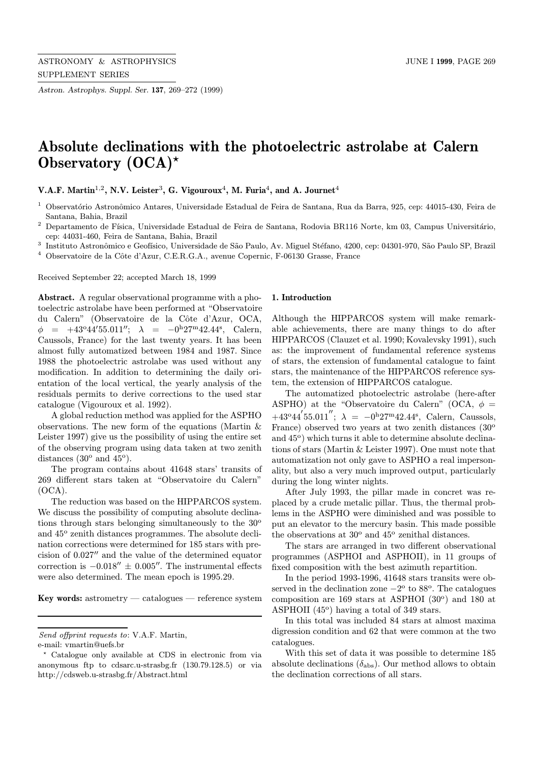Astron. Astrophys. Suppl. Ser. 137, 269–272 (1999)

# Absolute declinations with the photoelectric astrolabe at Calern Observatory  $(OCA)^*$

V.A.F. Martin<sup>1,2</sup>, N.V. Leister<sup>3</sup>, G. Vigouroux<sup>4</sup>, M. Furia<sup>4</sup>, and A. Journet<sup>4</sup>

- $1$  Observatório Astronômico Antares, Universidade Estadual de Feira de Santana, Rua da Barra, 925, cep: 44015-430, Feira de Santana, Bahia, Brazil
- <sup>2</sup> Departamento de Física, Universidade Estadual de Feira de Santana, Rodovia BR116 Norte, km 03, Campus Universitário, cep: 44031-460, Feira de Santana, Bahia, Brazil
- <sup>3</sup> Instituto Astronômico e Geofísico, Universidade de São Paulo, Av. Miguel Stéfano, 4200, cep: 04301-970, São Paulo SP, Brazil
- <sup>4</sup> Observatoire de la Côte d'Azur, C.E.R.G.A., avenue Copernic, F-06130 Grasse, France

Received September 22; accepted March 18, 1999

Abstract. A regular observational programme with a photoelectric astrolabe have been performed at "Observatoire du Calern" (Observatoire de la Côte d'Azur, OCA,  $\phi = +43^{\circ}44'55.011''; \lambda = -0^{\rm h}27^{\rm m}42.44^{\rm s}, \text{ Calern},$ Caussols, France) for the last twenty years. It has been almost fully automatized between 1984 and 1987. Since 1988 the photoelectric astrolabe was used without any modification. In addition to determining the daily orientation of the local vertical, the yearly analysis of the residuals permits to derive corrections to the used star catalogue (Vigouroux et al. 1992).

A global reduction method was applied for the ASPHO observations. The new form of the equations (Martin & Leister 1997) give us the possibility of using the entire set of the observing program using data taken at two zenith distances (30 $^{\circ}$  and 45 $^{\circ}$ ).

The program contains about 41648 stars' transits of 269 different stars taken at "Observatoire du Calern" (OCA).

The reduction was based on the HIPPARCOS system. We discuss the possibility of computing absolute declinations through stars belonging simultaneously to the  $30^{\circ}$ and  $45^{\circ}$  zenith distances programmes. The absolute declination corrections were determined for 185 stars with precision of  $0.027''$  and the value of the determined equator correction is  $-0.018'' \pm 0.005''$ . The instrumental effects were also determined. The mean epoch is 1995.29.

Key words: astrometry  $-$  catalogues  $-$  reference system

## 1. Introduction

Although the HIPPARCOS system will make remarkable achievements, there are many things to do after HIPPARCOS (Clauzet et al. 1990; Kovalevsky 1991), such as: the improvement of fundamental reference systems of stars, the extension of fundamental catalogue to faint stars, the maintenance of the HIPPARCOS reference system, the extension of HIPPARCOS catalogue.

The automatized photoelectric astrolabe (here-after ASPHO) at the "Observatoire du Calern" (OCA,  $\phi$  =  $+43^{\circ}44^{'}55.011''$ ;  $\lambda = -0^{h}27^{m}42.44^{s}$ , Calern, Caussols, France) observed two years at two zenith distances  $(30^{\circ}$ and  $45^{\circ}$ ) which turns it able to determine absolute declinations of stars (Martin & Leister 1997). One must note that automatization not only gave to ASPHO a real impersonality, but also a very much improved output, particularly during the long winter nights.

After July 1993, the pillar made in concret was replaced by a crude metalic pillar. Thus, the thermal problems in the ASPHO were diminished and was possible to put an elevator to the mercury basin. This made possible the observations at  $30^{\circ}$  and  $45^{\circ}$  zenithal distances.

The stars are arranged in two different observational programmes (ASPHOI and ASPHOII), in 11 groups of fixed composition with the best azimuth repartition.

In the period 1993-1996, 41648 stars transits were observed in the declination zone  $-2^{\circ}$  to 88<sup>o</sup>. The catalogues composition are 169 stars at ASPHOI  $(30^{\circ})$  and 180 at ASPHOII  $(45^{\circ})$  having a total of 349 stars.

In this total was included 84 stars at almost maxima digression condition and 62 that were common at the two catalogues.

With this set of data it was possible to determine 185 absolute declinations  $(\delta_{\text{abs}})$ . Our method allows to obtain the declination corrections of all stars.

Send offprint requests to: V.A.F. Martin,

e-mail: vmartin@uefs.br

<sup>?</sup> Catalogue only available at CDS in electronic from via anonymous ftp to cdsarc.u-strasbg.fr (130.79.128.5) or via http://cdsweb.u-strasbg.fr/Abstract.html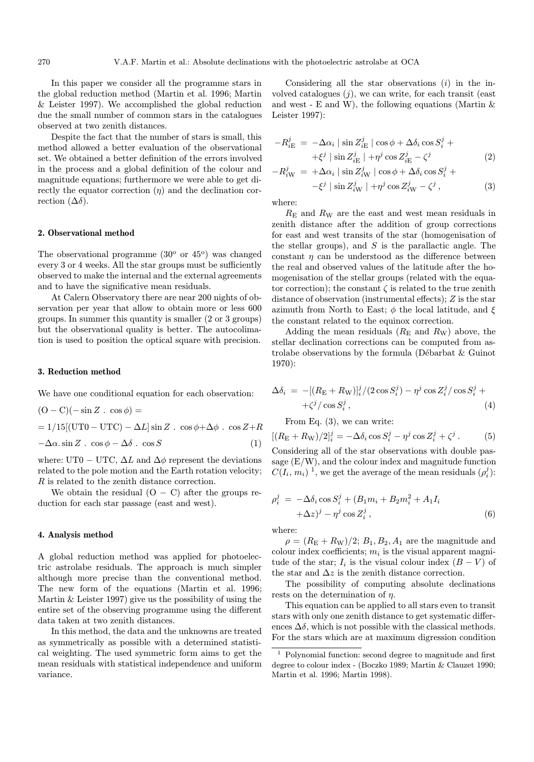In this paper we consider all the programme stars in the global reduction method (Martin et al. 1996; Martin & Leister 1997). We accomplished the global reduction due the small number of common stars in the catalogues observed at two zenith distances.

Despite the fact that the number of stars is small, this method allowed a better evaluation of the observational set. We obtained a better definition of the errors involved in the process and a global definition of the colour and magnitude equations; furthermore we were able to get directly the equator correction  $(\eta)$  and the declination correction  $(\Delta \delta)$ .

#### 2. Observational method

The observational programme  $(30^{\circ}$  or  $45^{\circ})$  was changed every 3 or 4 weeks. All the star groups must be sufficiently observed to make the internal and the external agreements and to have the significative mean residuals.

At Calern Observatory there are near 200 nights of observation per year that allow to obtain more or less 600 groups. In summer this quantity is smaller (2 or 3 groups) but the observational quality is better. The autocolimation is used to position the optical square with precision.

#### 3. Reduction method

We have one conditional equation for each observation:

$$
(O - C)(-\sin Z \cdot \cos \phi) =
$$
  
= 1/15[(UTO – UTC) –  $\Delta L$ ] sin Z . cos  $\phi$ + $\Delta \phi$  . cos Z+R  
- $\Delta \alpha$ . sin Z . cos  $\phi$  –  $\Delta \delta$  . cos S (1)

where: UT0 – UTC,  $\Delta L$  and  $\Delta \phi$  represent the deviations related to the pole motion and the Earth rotation velocity; R is related to the zenith distance correction.

We obtain the residual  $(O - C)$  after the groups reduction for each star passage (east and west).

## 4. Analysis method

A global reduction method was applied for photoelectric astrolabe residuals. The approach is much simpler although more precise than the conventional method. The new form of the equations (Martin et al. 1996; Martin  $&$  Leister 1997) give us the possibility of using the entire set of the observing programme using the different data taken at two zenith distances.

In this method, the data and the unknowns are treated as symmetrically as possible with a determined statistical weighting. The used symmetric form aims to get the mean residuals with statistical independence and uniform variance.

Considering all the star observations  $(i)$  in the involved catalogues  $(i)$ , we can write, for each transit (east and west - E and W), the following equations (Martin  $\&$ Leister 1997):

$$
-R_{i\to}^{j} = -\Delta\alpha_i \mid \sin Z_{i\to}^{j} \mid \cos\phi + \Delta\delta_i \cos S_i^{j} ++\xi^j \mid \sin Z_{i\to}^{j} \mid +\eta^j \cos Z_{i\to}^{j} - \zeta^j
$$
 (2)

$$
-R_{i\text{W}}^j = +\Delta\alpha_i \mid \sin Z_{i\text{W}}^j \mid \cos\phi + \Delta\delta_i \cos S_i^j +
$$
  

$$
-\xi^j \mid \sin Z_{i\text{W}}^j \mid +\eta^j \cos Z_{i\text{W}}^j - \zeta^j , \qquad (3)
$$

where:

 $R<sub>E</sub>$  and  $R<sub>W</sub>$  are the east and west mean residuals in zenith distance after the addition of group corrections for east and west transits of the star (homogenisation of the stellar groups), and  $S$  is the parallactic angle. The constant  $\eta$  can be understood as the difference between the real and observed values of the latitude after the homogenisation of the stellar groups (related with the equator correction); the constant  $\zeta$  is related to the true zenith distance of observation (instrumental effects); Z is the star azimuth from North to East;  $\phi$  the local latitude, and  $\xi$ the constant related to the equinox correction.

Adding the mean residuals  $(R<sub>E</sub>$  and  $R<sub>W</sub>$ ) above, the stellar declination corrections can be computed from astrolabe observations by the formula (Débarbat  $\&$  Guinot 1970):

$$
\Delta \delta_i = -[(R_{\rm E} + R_{\rm W})]^j_i / (2 \cos S^j_i) - \eta^j \cos Z^j_i / \cos S^j_i +
$$
  
 
$$
+ \zeta^j / \cos S^j_i , \qquad (4)
$$

From Eq. (3), we can write:

$$
[(RE + RW)/2]ij = -\Delta \delta_i \cos S_i^j - \eta^j \cos Z_i^j + \zeta^j.
$$
 (5)

Considering all of the star observations with double passage  $(E/W)$ , and the colour index and magnitude function  $C(I_i, m_i)$ <sup>1</sup>, we get the average of the mean residuals  $(\rho_i^j)$ :

$$
\rho_i^j = -\Delta \delta_i \cos S_i^j + (B_1 m_i + B_2 m_i^2 + A_1 I_i
$$
  
 
$$
+\Delta z)^j - \eta^j \cos Z_i^j , \qquad (6)
$$

where:

 $\rho = (R_{\rm E} + R_{\rm W})/2$ ;  $B_1, B_2, A_1$  are the magnitude and colour index coefficients;  $m_i$  is the visual apparent magnitude of the star;  $I_i$  is the visual colour index  $(B - V)$  of the star and  $\Delta z$  is the zenith distance correction.

The possibility of computing absolute declinations rests on the determination of  $\eta$ .

This equation can be applied to all stars even to transit stars with only one zenith distance to get systematic differences  $\Delta\delta$ , which is not possible with the classical methods. For the stars which are at maximum digression condition

<sup>1</sup> Polynomial function: second degree to magnitude and first degree to colour index - (Boczko 1989; Martin & Clauzet 1990; Martin et al. 1996; Martin 1998).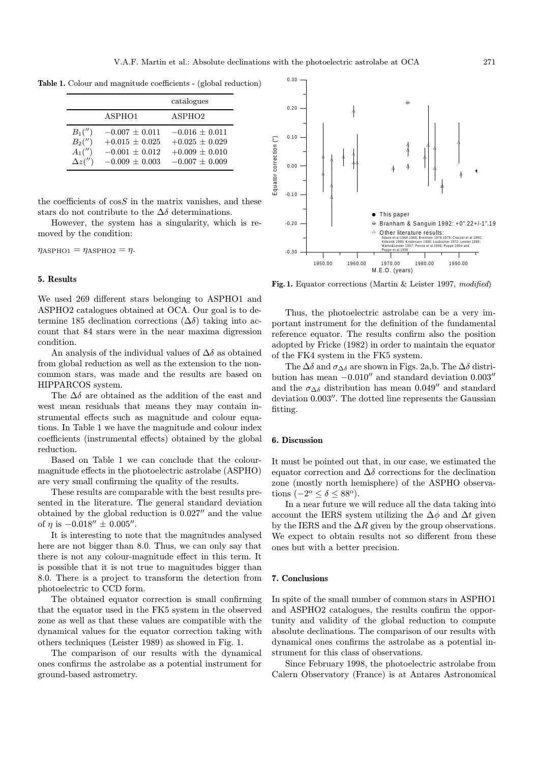Table 1. Colour and magnitude coefficients - (global reduction)

|                                                     |                                                                                      | catalogues                                                                           |
|-----------------------------------------------------|--------------------------------------------------------------------------------------|--------------------------------------------------------------------------------------|
|                                                     | ASPHO1                                                                               | ASPHO <sub>2</sub>                                                                   |
| $B_1('')$<br>$B_2('')$<br>$A_1('')$<br>$\Delta z''$ | $-0.007 \pm 0.011$<br>$+0.015 \pm 0.025$<br>$-0.001 \pm 0.012$<br>$-0.009 \pm 0.003$ | $-0.016 \pm 0.011$<br>$+0.025 \pm 0.029$<br>$+0.009 \pm 0.010$<br>$-0.007 \pm 0.009$ |

the coefficients of  $\cos S$  in the matrix vanishes, and these stars do not contribute to the  $\Delta\delta$  determinations.

However, the system has a singularity, which is removed by the condition:

 $\eta_{\rm ABPHO1} = \eta_{\rm ABPHO2} = \eta$ .

## 5. Results

We used 269 different stars belonging to ASPHO1 and ASPHO2 catalogues obtained at OCA. Our goal is to determine 185 declination corrections  $(\Delta \delta)$  taking into account that 84 stars were in the near maxima digression condition.

An analysis of the individual values of  $\Delta\delta$  as obtained from global reduction as well as the extension to the noncommon stars, was made and the results are based on HIPPARCOS system.

The  $\Delta\delta$  are obtained as the addition of the east and west mean residuals that means they may contain instrumental effects such as magnitude and colour equations. In Table 1 we have the magnitude and colour index coefficients (instrumental effects) obtained by the global reduction.

Based on Table 1 we can conclude that the colourmagnitude effects in the photoelectric astrolabe (ASPHO) are very small confirming the quality of the results.

These results are comparable with the best results presented in the literature. The general standard deviation obtained by the global reduction is  $0.027''$  and the value of  $\eta$  is  $-0.018'' \pm 0.005''$ .

It is interesting to note that the magnitudes analysed here are not bigger than 8.0. Thus, we can only say that there is not any colour-magnitude effect in this term. It is possible that it is not true to magnitudes bigger than 8.0. There is a project to transform the detection from photoelectric to CCD form.

The obtained equator correction is small confirming that the equator used in the FK5 system in the observed zone as well as that these values are compatible with the dynamical values for the equator correction taking with others techniques (Leister 1989) as showed in Fig. 1.

The comparison of our results with the dynamical ones confirms the astrolabe as a potential instrument for ground-based astrometry.



Fig. 1. Equator corrections (Martin & Leister 1997, modified)

Thus, the photoelectric astrolabe can be a very important instrument for the definition of the fundamental reference equator. The results confirm also the position adopted by Fricke (1982) in order to maintain the equator of the FK4 system in the FK5 system.

The  $\Delta\delta$  and  $\sigma_{\Delta\delta}$  are shown in Figs. 2a,b. The  $\Delta\delta$  distribution has mean  $-0.010''$  and standard deviation  $0.003''$ and the  $\sigma_{\Delta\delta}$  distribution has mean 0.049" and standard deviation  $0.003''$ . The dotted line represents the Gaussian fitting.

#### 6. Discussion

It must be pointed out that, in our case, we estimated the equator correction and  $\Delta\delta$  corrections for the declination zone (mostly north hemisphere) of the ASPHO observations  $(-2^{\circ} \leq \delta \leq 88^{\circ}).$ 

In a near future we will reduce all the data taking into account the IERS system utilizing the  $\Delta \phi$  and  $\Delta t$  given by the IERS and the  $\Delta R$  given by the group observations. We expect to obtain results not so different from these ones but with a better precision.

#### 7. Conclusions

In spite of the small number of common stars in ASPHO1 and ASPHO2 catalogues, the results confirm the opportunity and validity of the global reduction to compute absolute declinations. The comparison of our results with dynamical ones confirms the astrolabe as a potential instrument for this class of observations.

Since February 1998, the photoelectric astrolabe from Calern Observatory (France) is at Antares Astronomical